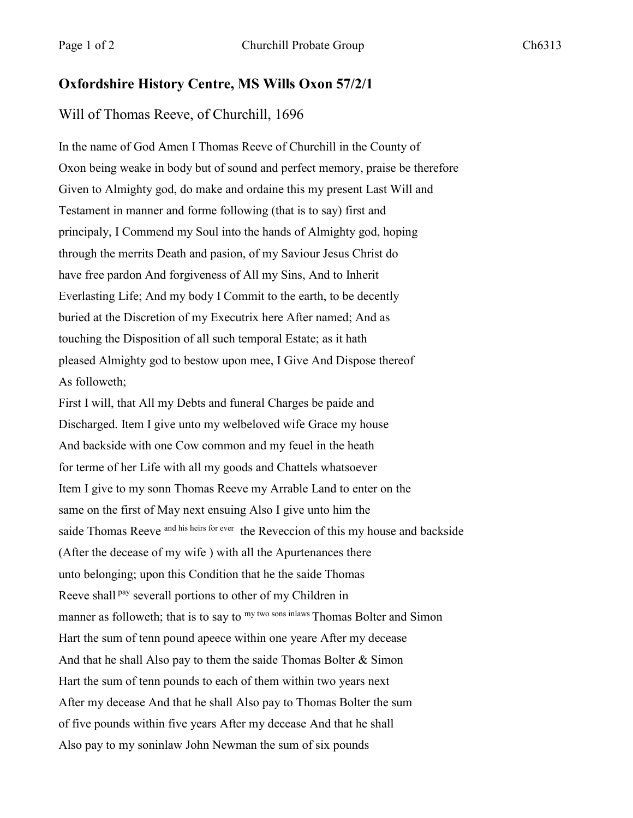## **Oxfordshire History Centre, MS Wills Oxon 57/2/1**

## Will of Thomas Reeve, of Churchill, 1696

In the name of God Amen I Thomas Reeve of Churchill in the County of Oxon being weake in body but of sound and perfect memory, praise be therefore Given to Almighty god, do make and ordaine this my present Last Will and Testament in manner and forme following (that is to say) first and principaly, I Commend my Soul into the hands of Almighty god, hoping through the merrits Death and pasion, of my Saviour Jesus Christ do have free pardon And forgiveness of All my Sins, And to Inherit Everlasting Life; And my body I Commit to the earth, to be decently buried at the Discretion of my Executrix here After named; And as touching the Disposition of all such temporal Estate; as it hath pleased Almighty god to bestow upon mee, I Give And Dispose thereof As followeth;

First I will, that All my Debts and funeral Charges be paide and Discharged. Item I give unto my welbeloved wife Grace my house And backside with one Cow common and my feuel in the heath for terme of her Life with all my goods and Chattels whatsoever Item I give to my sonn Thomas Reeve my Arrable Land to enter on the same on the first of May next ensuing Also I give unto him the saide Thomas Reeve and his heirs for ever the Reveccion of this my house and backside (After the decease of my wife ) with all the Apurtenances there unto belonging; upon this Condition that he the saide Thomas Reeve shall <sup>pay</sup> severall portions to other of my Children in manner as followeth; that is to say to <sup>my two sons inlaws</sup> Thomas Bolter and Simon Hart the sum of tenn pound apeece within one yeare After my decease And that he shall Also pay to them the saide Thomas Bolter & Simon Hart the sum of tenn pounds to each of them within two years next After my decease And that he shall Also pay to Thomas Bolter the sum of five pounds within five years After my decease And that he shall Also pay to my soninlaw John Newman the sum of six pounds